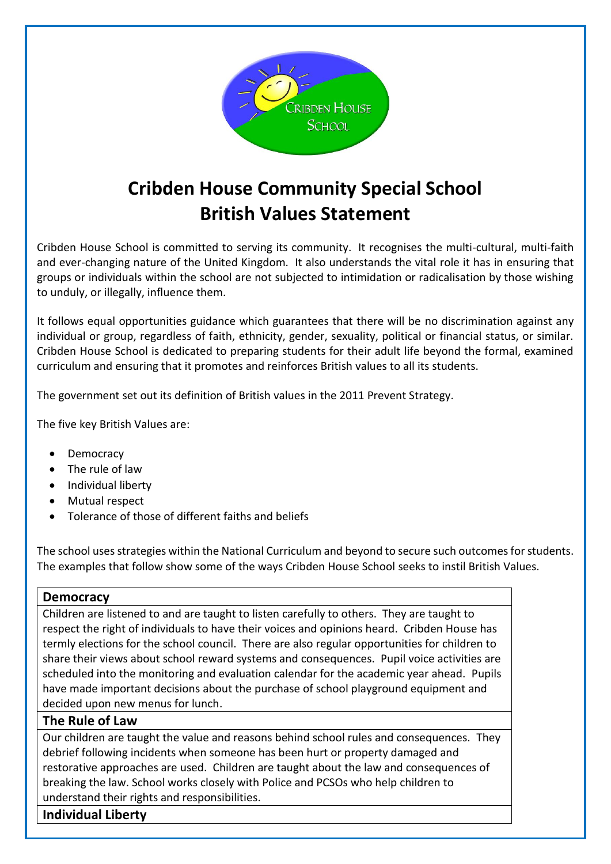

# **Cribden House Community Special School British Values Statement**

Cribden House School is committed to serving its community. It recognises the multi-cultural, multi-faith and ever-changing nature of the United Kingdom. It also understands the vital role it has in ensuring that groups or individuals within the school are not subjected to intimidation or radicalisation by those wishing to unduly, or illegally, influence them.

It follows equal opportunities guidance which guarantees that there will be no discrimination against any individual or group, regardless of faith, ethnicity, gender, sexuality, political or financial status, or similar. Cribden House School is dedicated to preparing students for their adult life beyond the formal, examined curriculum and ensuring that it promotes and reinforces British values to all its students.

The government set out its definition of British values in the 2011 Prevent Strategy.

The five key British Values are:

- Democracy
- The rule of law
- Individual liberty
- Mutual respect
- Tolerance of those of different faiths and beliefs

The school uses strategies within the National Curriculum and beyond to secure such outcomes for students. The examples that follow show some of the ways Cribden House School seeks to instil British Values.

#### **Democracy**

Children are listened to and are taught to listen carefully to others. They are taught to respect the right of individuals to have their voices and opinions heard. Cribden House has termly elections for the school council. There are also regular opportunities for children to share their views about school reward systems and consequences. Pupil voice activities are scheduled into the monitoring and evaluation calendar for the academic year ahead. Pupils have made important decisions about the purchase of school playground equipment and decided upon new menus for lunch.

### **The Rule of Law**

Our children are taught the value and reasons behind school rules and consequences. They debrief following incidents when someone has been hurt or property damaged and restorative approaches are used. Children are taught about the law and consequences of breaking the law. School works closely with Police and PCSOs who help children to understand their rights and responsibilities.

**Individual Liberty**